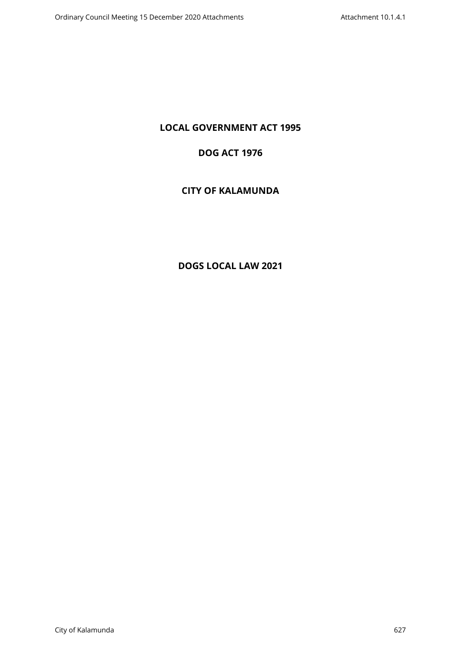# **LOCAL GOVERNMENT ACT 1995**

# **DOG ACT 1976**

# **CITY OF KALAMUNDA**

# **DOGS LOCAL LAW 2021**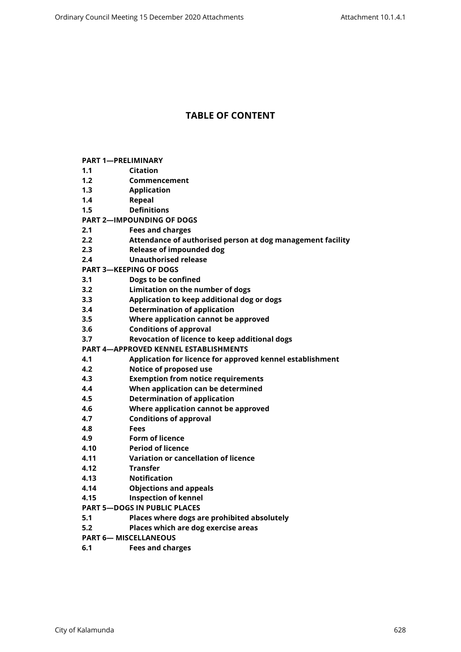# **TABLE OF CONTENT**

|     | <b>PART 1-PRELIMINARY</b> |
|-----|---------------------------|
| 1.1 | Citation                  |

- **[1.2 Commencement](#page-3-2)**
- **[1.3 Application](#page-3-3)**
- **[1.4 Repeal](#page-3-4)**
- **[1.5 Definitions](#page-3-5)**
- **[PART 2—IMPOUNDING OF DOGS](#page-5-0)**
- **[2.1 Fees and charges](#page-5-1)**
- **[2.2 Attendance of authorised person at dog management facility](#page-5-2)**
- **[2.3 Release of impounded dog](#page-5-3)**
- **[2.4 Unauthorised release](#page-5-4)**
- **[PART 3—KEEPING OF DOGS](#page-6-0)**
- **[3.1 Dogs to be confined](#page-6-1)**
- **[3.2 Limitation on the number of dogs](#page-6-2)**
- **[3.3 Application to keep additional dog or dogs](#page-7-0)**
- **[3.4 Determination of application](#page-7-1)**
- **[3.5 Where application cannot be approved](#page-8-0)**
- **[3.6 Conditions of approval](#page-8-1)**
- **[3.7 Revocation of licence to keep additional dogs](#page-8-2)**
- **[PART 4—APPROVED KENNEL ESTABLISHMENTS](#page-9-0)**
- **[4.1 Application for licence for approved kennel establishment](#page-9-1)**
- **[4.2 Notice of proposed use](#page-9-2)**
- **[4.3 Exemption from notice requirements](#page-9-3)**
- **[4.4 When application can be determined](#page-10-0)**
- **[4.5 Determination of application](#page-10-1)**
- **[4.6 Where application cannot be approved](#page-10-2)**
- **[4.7 Conditions of approval](#page-11-0)**
- **[4.8 Fees](#page-11-1)**
- **[4.9 Form of licence](#page-11-2)**
- **[4.10 Period of licence](#page-11-3)**
- **[4.11 Variation or cancellation of licence](#page-12-0)**
- **[4.12 Transfer](#page-12-1)**
- **[4.13 Notification](#page-13-0)**
- **[4.14 Objections and appeals](#page-13-1)**
- **[4.15 Inspection of kennel](#page-13-2)**
- **[PART 5—DOGS IN PUBLIC PLACES](#page-13-3)**
- **[5.1 Places where dogs are prohibited absolutely](#page-13-4)**
- **[5.2 Places which are dog exercise areas](#page-14-0)**
- **[PART 6— MISCELLANEOUS](#page-14-1)**
- **[6.1 Fees and charges](#page-14-2)**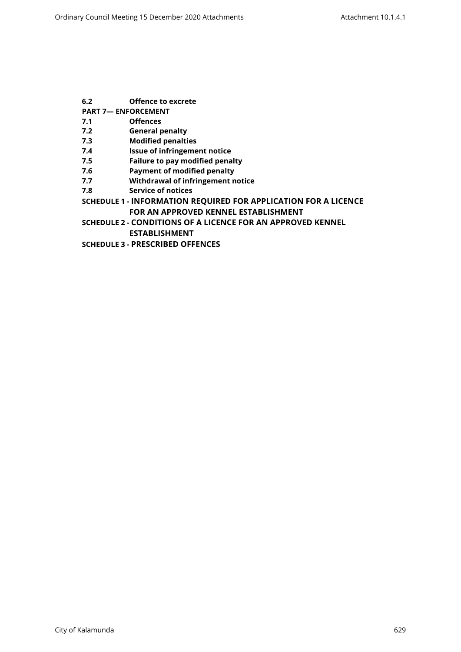- **[6.2 Offence to excrete](#page-14-3)**
- **[PART 7— ENFORCEMENT](#page-14-4)**
- **[7.1 Offences](#page-14-5)**
- **[7.2 General penalty](#page-14-6)**
- **[7.3 Modified penalties](#page-15-0)**
- **[7.4 Issue of infringement notice](#page-15-1)**
- **[7.5 Failure to pay modified penalty](#page-15-2)**
- **[7.6 Payment of modified penalty](#page-15-3)**
- **[7.7 Withdrawal of infringement notice](#page-15-4)**
- **[7.8 Service of notices](#page-16-0)**
- **SCHEDULE 1 [INFORMATION REQUIRED FOR APPLICATION FOR A LICENCE](#page-17-0)  [FOR AN APPROVED KENNEL ESTABLISHMENT](#page-17-0)**
- **SCHEDULE 2 [CONDITIONS OF A LICENCE FOR AN APPROVED KENNEL](#page-19-0)  [ESTABLISHMENT](#page-19-0)**
- **SCHEDULE 3 [PRESCRIBED OFFENCES](#page-22-0)**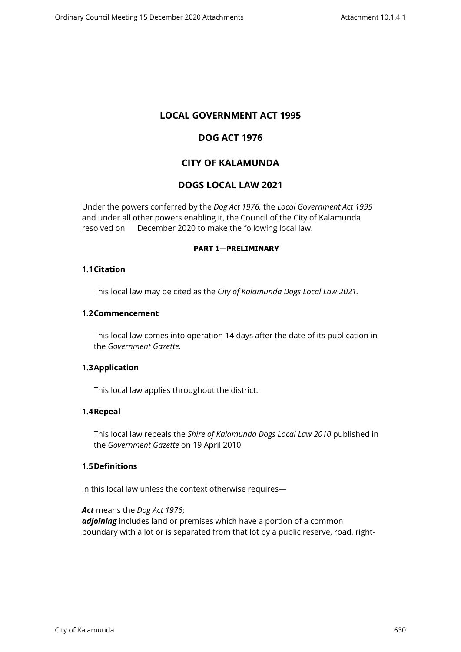# **LOCAL GOVERNMENT ACT 1995**

# **DOG ACT 1976**

# **CITY OF KALAMUNDA**

# **DOGS LOCAL LAW 2021**

Under the powers conferred by the *Dog Act 1976,* the *Local Government Act 1995*  and under all other powers enabling it, the Council of the City of Kalamunda resolved on December 2020 to make the following local law.

#### <span id="page-3-0"></span>**PART 1—PRELIMINARY**

#### <span id="page-3-1"></span>**1.1Citation**

This local law may be cited as the *City of Kalamunda Dogs Local Law 2021.*

#### <span id="page-3-2"></span>**1.2Commencement**

This local law comes into operation 14 days after the date of its publication in the *Government Gazette.*

#### <span id="page-3-3"></span>**1.3Application**

This local law applies throughout the district.

# <span id="page-3-4"></span>**1.4Repeal**

This local law repeals the *Shire of Kalamunda Dogs Local Law 2010* published in the *Government Gazette* on 19 April 2010.

# **1.5Definitions**

<span id="page-3-5"></span>In this local law unless the context otherwise requires—

*Act* means the *Dog Act 1976*; *adjoining* includes land or premises which have a portion of a common boundary with a lot or is separated from that lot by a public reserve, road, right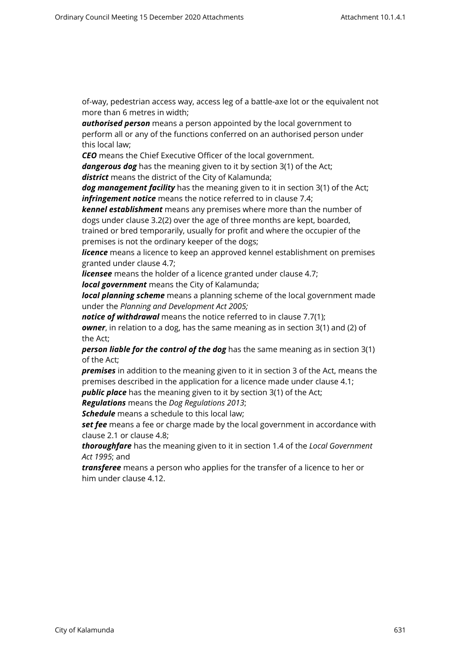of-way, pedestrian access way, access leg of a battle-axe lot or the equivalent not more than 6 metres in width;

*authorised person* means a person appointed by the local government to perform all or any of the functions conferred on an authorised person under this local law;

*CEO* means the Chief Executive Officer of the local government.

*dangerous dog* has the meaning given to it by section 3(1) of the Act; *district* means the district of the City of Kalamunda;

*dog management facility* has the meaning given to it in section 3(1) of the Act; *infringement notice* means the notice referred to in clause 7.4;

*kennel establishment* means any premises where more than the number of dogs under clause 3.2(2) over the age of three months are kept, boarded, trained or bred temporarily, usually for profit and where the occupier of the

premises is not the ordinary keeper of the dogs;

*licence* means a licence to keep an approved kennel establishment on premises granted under clause 4.7;

*licensee* means the holder of a licence granted under clause 4.7;

*local government* means the City of Kalamunda;

*local planning scheme* means a planning scheme of the local government made under the *Planning and Development Act 2005;*

*notice of withdrawal* means the notice referred to in clause 7.7(1); *owner*, in relation to a dog, has the same meaning as in section 3(1) and (2) of the Act;

*person liable for the control of the dog* has the same meaning as in section 3(1) of the Act;

*premises* in addition to the meaning given to it in section 3 of the Act, means the premises described in the application for a licence made under clause 4.1;

**public place** has the meaning given to it by section 3(1) of the Act;

*Regulations* means the *Dog Regulations 2013*;

*Schedule* means a schedule to this local law;

**set fee** means a fee or charge made by the local government in accordance with clause 2.1 or clause 4.8;

*thoroughfare* has the meaning given to it in section 1.4 of the *Local Government Act 1995*; and

*transferee* means a person who applies for the transfer of a licence to her or him under clause 4.12.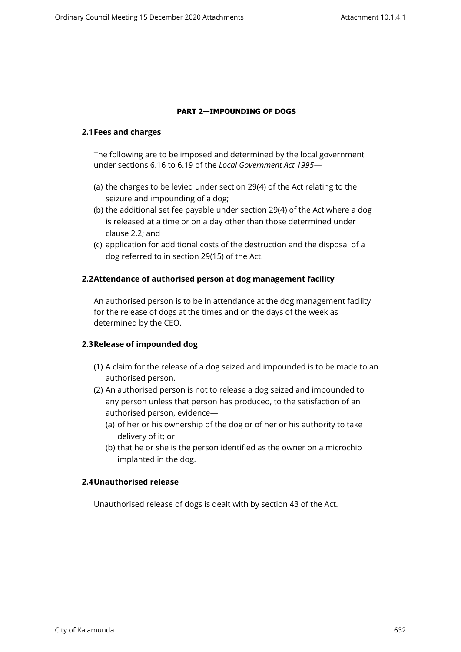#### <span id="page-5-0"></span>**PART 2—IMPOUNDING OF DOGS**

#### <span id="page-5-1"></span>**2.1Fees and charges**

The following are to be imposed and determined by the local government under sections 6.16 to 6.19 of the *Local Government Act 1995*—

- (a) the charges to be levied under section 29(4) of the Act relating to the seizure and impounding of a dog;
- (b) the additional set fee payable under section 29(4) of the Act where a dog is released at a time or on a day other than those determined under clause 2.2; and
- (c) application for additional costs of the destruction and the disposal of a dog referred to in section 29(15) of the Act.

# <span id="page-5-2"></span>**2.2Attendance of authorised person at dog management facility**

An authorised person is to be in attendance at the dog management facility for the release of dogs at the times and on the days of the week as determined by the CEO.

# <span id="page-5-3"></span>**2.3Release of impounded dog**

- (1) A claim for the release of a dog seized and impounded is to be made to an authorised person.
- (2) An authorised person is not to release a dog seized and impounded to any person unless that person has produced, to the satisfaction of an authorised person, evidence—
	- (a) of her or his ownership of the dog or of her or his authority to take delivery of it; or
	- (b) that he or she is the person identified as the owner on a microchip implanted in the dog.

# <span id="page-5-4"></span>**2.4Unauthorised release**

Unauthorised release of dogs is dealt with by section 43 of the Act.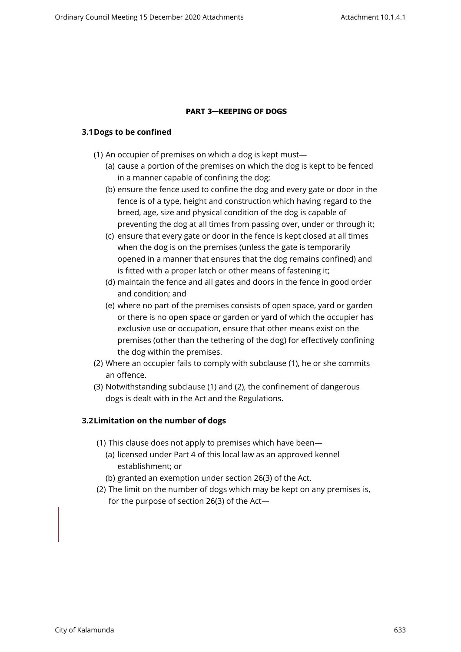# <span id="page-6-0"></span>**PART 3—KEEPING OF DOGS**

# <span id="page-6-1"></span>**3.1Dogs to be confined**

- (1) An occupier of premises on which a dog is kept must—
	- (a) cause a portion of the premises on which the dog is kept to be fenced in a manner capable of confining the dog;
	- (b) ensure the fence used to confine the dog and every gate or door in the fence is of a type, height and construction which having regard to the breed, age, size and physical condition of the dog is capable of preventing the dog at all times from passing over, under or through it;
	- (c) ensure that every gate or door in the fence is kept closed at all times when the dog is on the premises (unless the gate is temporarily opened in a manner that ensures that the dog remains confined) and is fitted with a proper latch or other means of fastening it;
	- (d) maintain the fence and all gates and doors in the fence in good order and condition; and
	- (e) where no part of the premises consists of open space, yard or garden or there is no open space or garden or yard of which the occupier has exclusive use or occupation, ensure that other means exist on the premises (other than the tethering of the dog) for effectively confining the dog within the premises.
- (2) Where an occupier fails to comply with subclause (1), he or she commits an offence.
- (3) Notwithstanding subclause (1) and (2), the confinement of dangerous dogs is dealt with in the Act and the Regulations.

# <span id="page-6-2"></span>**3.2Limitation on the number of dogs**

- (1) This clause does not apply to premises which have been—
	- (a) licensed under Part 4 of this local law as an approved kennel establishment; or
	- (b) granted an exemption under section 26(3) of the Act.
- (2) The limit on the number of dogs which may be kept on any premises is, for the purpose of section 26(3) of the Act—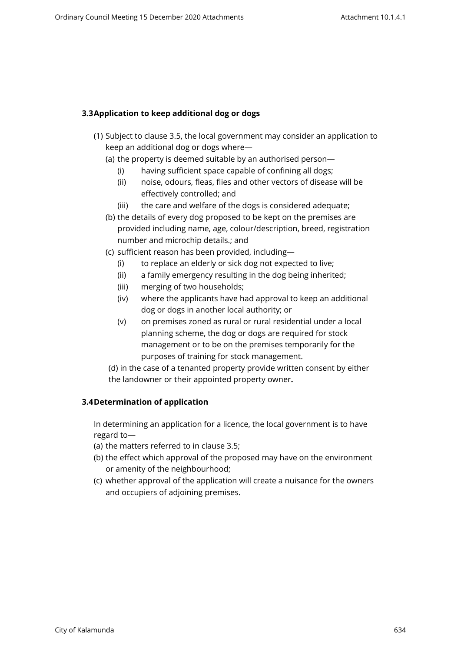# <span id="page-7-0"></span>**3.3Application to keep additional dog or dogs**

- (1) Subject to clause 3.5, the local government may consider an application to keep an additional dog or dogs where—
	- (a) the property is deemed suitable by an authorised person—
		- (i) having sufficient space capable of confining all dogs;
		- (ii) noise, odours, fleas, flies and other vectors of disease will be effectively controlled; and
		- (iii) the care and welfare of the dogs is considered adequate;
	- (b) the details of every dog proposed to be kept on the premises are provided including name, age, colour/description, breed, registration number and microchip details.; and
	- (c) sufficient reason has been provided, including—
		- (i) to replace an elderly or sick dog not expected to live;
		- (ii) a family emergency resulting in the dog being inherited;
		- (iii) merging of two households;
		- (iv) where the applicants have had approval to keep an additional dog or dogs in another local authority; or
		- (v) on premises zoned as rural or rural residential under a local planning scheme, the dog or dogs are required for stock management or to be on the premises temporarily for the purposes of training for stock management.

(d) in the case of a tenanted property provide written consent by either the landowner or their appointed property owner**.**

# <span id="page-7-1"></span>**3.4Determination of application**

In determining an application for a licence, the local government is to have regard to—

- (a) the matters referred to in clause 3.5;
- (b) the effect which approval of the proposed may have on the environment or amenity of the neighbourhood;
- (c) whether approval of the application will create a nuisance for the owners and occupiers of adjoining premises.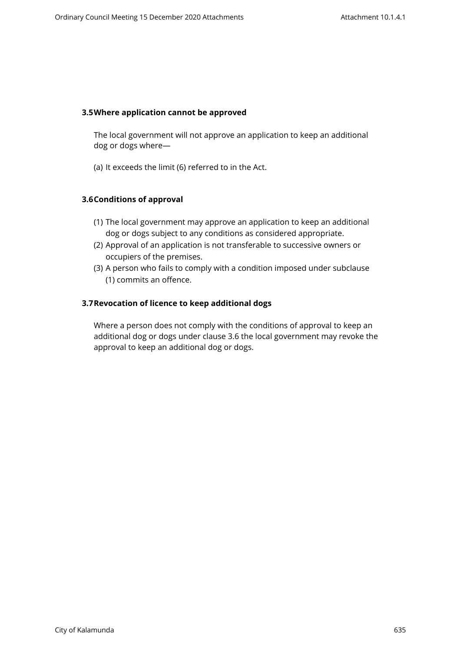### <span id="page-8-0"></span>**3.5Where application cannot be approved**

The local government will not approve an application to keep an additional dog or dogs where—

(a) It exceeds the limit (6) referred to in the Act.

# <span id="page-8-1"></span>**3.6Conditions of approval**

- (1) The local government may approve an application to keep an additional dog or dogs subject to any conditions as considered appropriate.
- (2) Approval of an application is not transferable to successive owners or occupiers of the premises.
- (3) A person who fails to comply with a condition imposed under subclause (1) commits an offence.

# <span id="page-8-2"></span>**3.7Revocation of licence to keep additional dogs**

Where a person does not comply with the conditions of approval to keep an additional dog or dogs under clause 3.6 the local government may revoke the approval to keep an additional dog or dogs.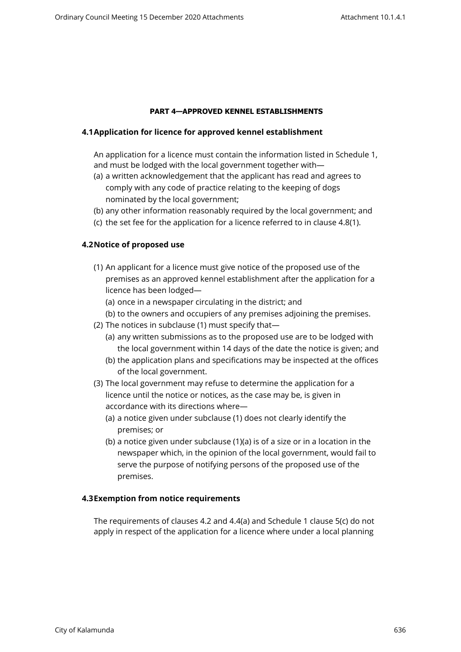# <span id="page-9-0"></span>**PART 4—APPROVED KENNEL ESTABLISHMENTS**

# <span id="page-9-1"></span>**4.1Application for licence for approved kennel establishment**

An application for a licence must contain the information listed in Schedule 1, and must be lodged with the local government together with—

- (a) a written acknowledgement that the applicant has read and agrees to comply with any code of practice relating to the keeping of dogs nominated by the local government;
- (b) any other information reasonably required by the local government; and
- (c) the set fee for the application for a licence referred to in clause 4.8(1).

# <span id="page-9-2"></span>**4.2Notice of proposed use**

- (1) An applicant for a licence must give notice of the proposed use of the premises as an approved kennel establishment after the application for a licence has been lodged—
	- (a) once in a newspaper circulating in the district; and
	- (b) to the owners and occupiers of any premises adjoining the premises.
- (2) The notices in subclause (1) must specify that—
	- (a) any written submissions as to the proposed use are to be lodged with the local government within 14 days of the date the notice is given; and
	- (b) the application plans and specifications may be inspected at the offices of the local government.
- (3) The local government may refuse to determine the application for a licence until the notice or notices, as the case may be, is given in accordance with its directions where—
	- (a) a notice given under subclause (1) does not clearly identify the premises; or
	- (b) a notice given under subclause (1)(a) is of a size or in a location in the newspaper which, in the opinion of the local government, would fail to serve the purpose of notifying persons of the proposed use of the premises.

# <span id="page-9-3"></span>**4.3Exemption from notice requirements**

The requirements of clauses 4.2 and 4.4(a) and Schedule 1 clause 5(c) do not apply in respect of the application for a licence where under a local planning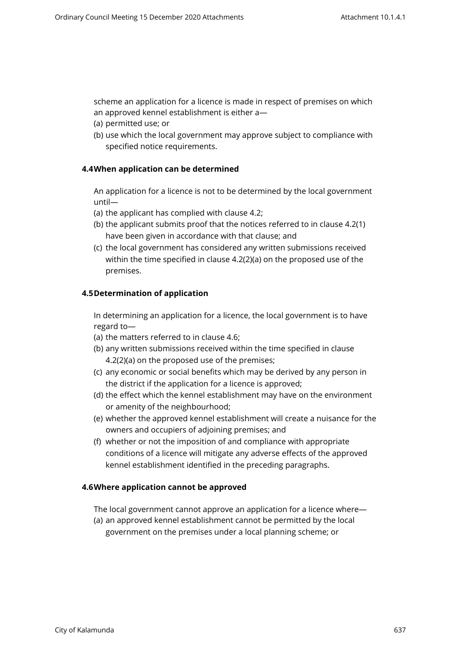scheme an application for a licence is made in respect of premises on which an approved kennel establishment is either a—

- (a) permitted use; or
- <span id="page-10-0"></span>(b) use which the local government may approve subject to compliance with specified notice requirements.

# **4.4When application can be determined**

An application for a licence is not to be determined by the local government until—

- (a) the applicant has complied with clause 4.2;
- (b) the applicant submits proof that the notices referred to in clause 4.2(1) have been given in accordance with that clause; and
- (c) the local government has considered any written submissions received within the time specified in clause 4.2(2)(a) on the proposed use of the premises.

# <span id="page-10-1"></span>**4.5Determination of application**

In determining an application for a licence, the local government is to have regard to—

- (a) the matters referred to in clause 4.6;
- (b) any written submissions received within the time specified in clause 4.2(2)(a) on the proposed use of the premises;
- (c) any economic or social benefits which may be derived by any person in the district if the application for a licence is approved;
- (d) the effect which the kennel establishment may have on the environment or amenity of the neighbourhood;
- (e) whether the approved kennel establishment will create a nuisance for the owners and occupiers of adjoining premises; and
- (f) whether or not the imposition of and compliance with appropriate conditions of a licence will mitigate any adverse effects of the approved kennel establishment identified in the preceding paragraphs.

# <span id="page-10-2"></span>**4.6Where application cannot be approved**

The local government cannot approve an application for a licence where—

(a) an approved kennel establishment cannot be permitted by the local government on the premises under a local planning scheme; or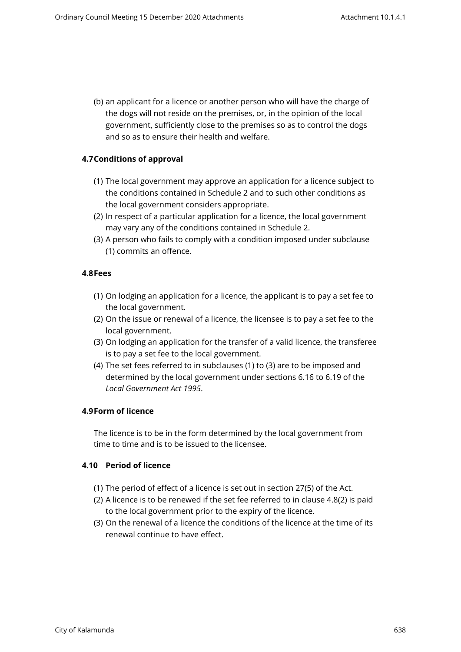(b) an applicant for a licence or another person who will have the charge of the dogs will not reside on the premises, or, in the opinion of the local government, sufficiently close to the premises so as to control the dogs and so as to ensure their health and welfare.

# <span id="page-11-0"></span>**4.7Conditions of approval**

- (1) The local government may approve an application for a licence subject to the conditions contained in Schedule 2 and to such other conditions as the local government considers appropriate.
- (2) In respect of a particular application for a licence, the local government may vary any of the conditions contained in Schedule 2.
- (3) A person who fails to comply with a condition imposed under subclause (1) commits an offence.

#### <span id="page-11-1"></span>**4.8Fees**

- (1) On lodging an application for a licence, the applicant is to pay a set fee to the local government.
- (2) On the issue or renewal of a licence, the licensee is to pay a set fee to the local government.
- (3) On lodging an application for the transfer of a valid licence, the transferee is to pay a set fee to the local government.
- (4) The set fees referred to in subclauses (1) to (3) are to be imposed and determined by the local government under sections 6.16 to 6.19 of the *Local Government Act 1995*.

#### <span id="page-11-2"></span>**4.9Form of licence**

The licence is to be in the form determined by the local government from time to time and is to be issued to the licensee.

# <span id="page-11-3"></span>**4.10 Period of licence**

- (1) The period of effect of a licence is set out in section 27(5) of the Act.
- (2) A licence is to be renewed if the set fee referred to in clause 4.8(2) is paid to the local government prior to the expiry of the licence.
- (3) On the renewal of a licence the conditions of the licence at the time of its renewal continue to have effect.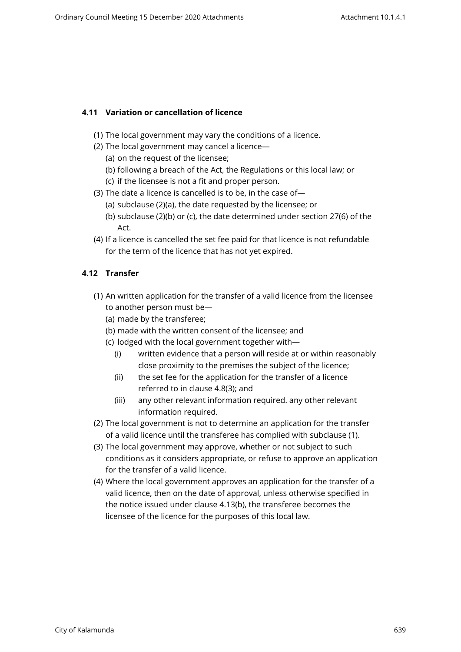# <span id="page-12-0"></span>**4.11 Variation or cancellation of licence**

- (1) The local government may vary the conditions of a licence.
- (2) The local government may cancel a licence—
	- (a) on the request of the licensee;
	- (b) following a breach of the Act, the Regulations or this local law; or
	- (c) if the licensee is not a fit and proper person.
- (3) The date a licence is cancelled is to be, in the case of—
	- (a) subclause (2)(a), the date requested by the licensee; or
	- (b) subclause (2)(b) or (c), the date determined under section 27(6) of the Act.
- (4) If a licence is cancelled the set fee paid for that licence is not refundable for the term of the licence that has not yet expired.

# <span id="page-12-1"></span>**4.12 Transfer**

- (1) An written application for the transfer of a valid licence from the licensee to another person must be—
	- (a) made by the transferee;
	- (b) made with the written consent of the licensee; and
	- (c) lodged with the local government together with—
		- (i) written evidence that a person will reside at or within reasonably close proximity to the premises the subject of the licence;
		- (ii) the set fee for the application for the transfer of a licence referred to in clause 4.8(3); and
		- (iii) any other relevant information required. any other relevant information required.
- (2) The local government is not to determine an application for the transfer of a valid licence until the transferee has complied with subclause (1).
- (3) The local government may approve, whether or not subject to such conditions as it considers appropriate, or refuse to approve an application for the transfer of a valid licence.
- (4) Where the local government approves an application for the transfer of a valid licence, then on the date of approval, unless otherwise specified in the notice issued under clause 4.13(b), the transferee becomes the licensee of the licence for the purposes of this local law.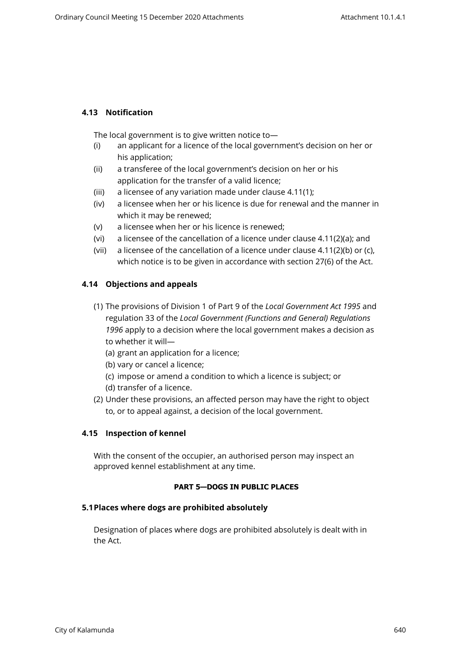# <span id="page-13-0"></span>**4.13 Notification**

The local government is to give written notice to—

- (i) an applicant for a licence of the local government's decision on her or his application;
- (ii) a transferee of the local government's decision on her or his application for the transfer of a valid licence;
- (iii) a licensee of any variation made under clause 4.11(1);
- (iv) a licensee when her or his licence is due for renewal and the manner in which it may be renewed;
- (v) a licensee when her or his licence is renewed;
- (vi) a licensee of the cancellation of a licence under clause 4.11(2)(a); and
- (vii) a licensee of the cancellation of a licence under clause 4.11(2)(b) or (c), which notice is to be given in accordance with section 27(6) of the Act.

# <span id="page-13-1"></span>**4.14 Objections and appeals**

- (1) The provisions of Division 1 of Part 9 of the *Local Government Act 1995* and regulation 33 of the *Local Government (Functions and General) Regulations 1996* apply to a decision where the local government makes a decision as to whether it will—
	- (a) grant an application for a licence;
	- (b) vary or cancel a licence;
	- (c) impose or amend a condition to which a licence is subject; or
	- (d) transfer of a licence.
- (2) Under these provisions, an affected person may have the right to object to, or to appeal against, a decision of the local government.

# <span id="page-13-2"></span>**4.15 Inspection of kennel**

With the consent of the occupier, an authorised person may inspect an approved kennel establishment at any time.

# <span id="page-13-3"></span>**PART 5—DOGS IN PUBLIC PLACES**

# **5.1Places where dogs are prohibited absolutely**

<span id="page-13-4"></span>Designation of places where dogs are prohibited absolutely is dealt with in the Act.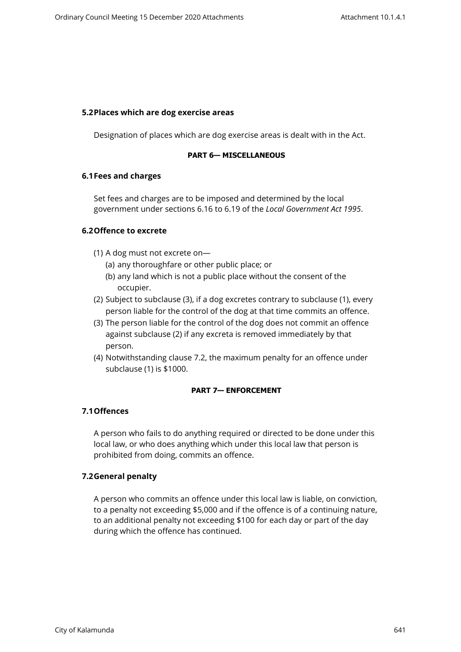#### <span id="page-14-0"></span>**5.2Places which are dog exercise areas**

Designation of places which are dog exercise areas is dealt with in the Act.

#### <span id="page-14-1"></span>**PART 6— MISCELLANEOUS**

#### <span id="page-14-2"></span>**6.1Fees and charges**

Set fees and charges are to be imposed and determined by the local government under sections 6.16 to 6.19 of the *Local Government Act 1995*.

# <span id="page-14-3"></span>**6.2Offence to excrete**

- (1) A dog must not excrete on—
	- (a) any thoroughfare or other public place; or
	- (b) any land which is not a public place without the consent of the occupier.
- (2) Subject to subclause (3), if a dog excretes contrary to subclause (1), every person liable for the control of the dog at that time commits an offence.
- (3) The person liable for the control of the dog does not commit an offence against subclause (2) if any excreta is removed immediately by that person.
- (4) Notwithstanding clause 7.2, the maximum penalty for an offence under subclause (1) is \$1000.

# <span id="page-14-4"></span>**PART 7— ENFORCEMENT**

# <span id="page-14-5"></span>**7.1Offences**

A person who fails to do anything required or directed to be done under this local law, or who does anything which under this local law that person is prohibited from doing, commits an offence.

# <span id="page-14-6"></span>**7.2General penalty**

A person who commits an offence under this local law is liable, on conviction, to a penalty not exceeding \$5,000 and if the offence is of a continuing nature, to an additional penalty not exceeding \$100 for each day or part of the day during which the offence has continued.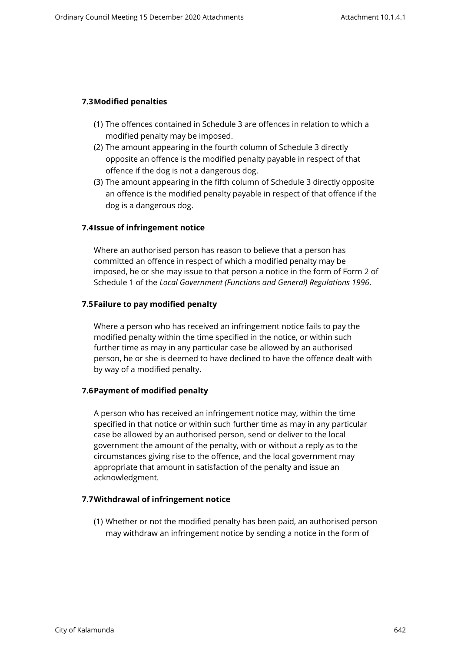# <span id="page-15-0"></span>**7.3Modified penalties**

- (1) The offences contained in Schedule 3 are offences in relation to which a modified penalty may be imposed.
- (2) The amount appearing in the fourth column of Schedule 3 directly opposite an offence is the modified penalty payable in respect of that offence if the dog is not a dangerous dog.
- (3) The amount appearing in the fifth column of Schedule 3 directly opposite an offence is the modified penalty payable in respect of that offence if the dog is a dangerous dog.

# <span id="page-15-1"></span>**7.4Issue of infringement notice**

Where an authorised person has reason to believe that a person has committed an offence in respect of which a modified penalty may be imposed, he or she may issue to that person a notice in the form of Form 2 of Schedule 1 of the *Local Government (Functions and General) Regulations 1996*.

# <span id="page-15-2"></span>**7.5Failure to pay modified penalty**

Where a person who has received an infringement notice fails to pay the modified penalty within the time specified in the notice, or within such further time as may in any particular case be allowed by an authorised person, he or she is deemed to have declined to have the offence dealt with by way of a modified penalty.

# <span id="page-15-3"></span>**7.6Payment of modified penalty**

A person who has received an infringement notice may, within the time specified in that notice or within such further time as may in any particular case be allowed by an authorised person, send or deliver to the local government the amount of the penalty, with or without a reply as to the circumstances giving rise to the offence, and the local government may appropriate that amount in satisfaction of the penalty and issue an acknowledgment.

# **7.7Withdrawal of infringement notice**

<span id="page-15-4"></span>(1) Whether or not the modified penalty has been paid, an authorised person may withdraw an infringement notice by sending a notice in the form of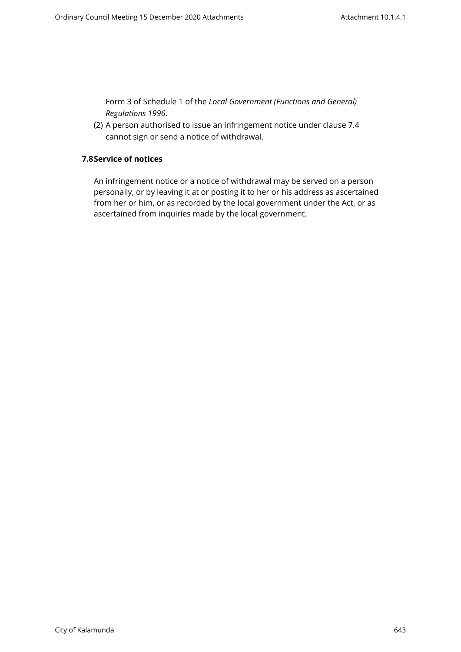Form 3 of Schedule 1 of the *Local Government (Functions and General) Regulations 1996*.

<span id="page-16-0"></span>(2) A person authorised to issue an infringement notice under clause 7.4 cannot sign or send a notice of withdrawal.

# **7.8Service of notices**

An infringement notice or a notice of withdrawal may be served on a person personally, or by leaving it at or posting it to her or his address as ascertained from her or him, or as recorded by the local government under the Act, or as ascertained from inquiries made by the local government.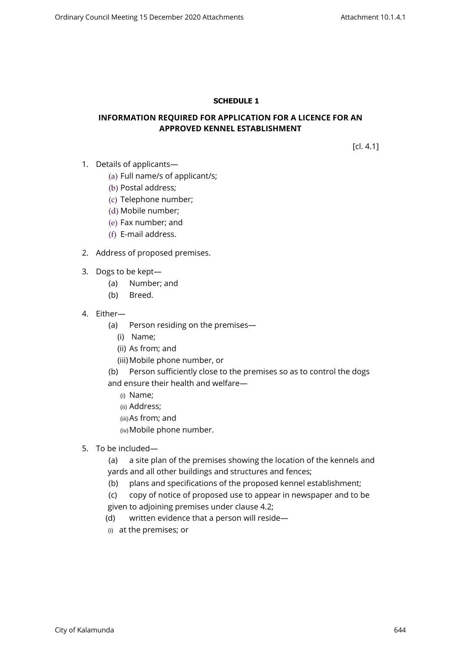# <span id="page-17-0"></span>**SCHEDULE 1**

# **INFORMATION REQUIRED FOR APPLICATION FOR A LICENCE FOR AN APPROVED KENNEL ESTABLISHMENT**

[cl. 4.1]

- 1. Details of applicants—
	- (a) Full name/s of applicant/s;
	- (b) Postal address;
	- (c) Telephone number;
	- (d) Mobile number;
	- (e) Fax number; and
	- (f) E-mail address.
- 2. Address of proposed premises.
- 3. Dogs to be kept—
	- (a) Number; and
	- (b) Breed.
- 4. Either—
	- (a) Person residing on the premises—
		- (i) Name;
		- (ii) As from; and
		- (iii) Mobile phone number, or
	- (b) Person sufficiently close to the premises so as to control the dogs and ensure their health and welfare—
		- (i) Name;
		- (ii) Address;
		- (iii)As from; and
		- (iv)Mobile phone number.
- 5. To be included—
	- (a) a site plan of the premises showing the location of the kennels and yards and all other buildings and structures and fences;
	- (b) plans and specifications of the proposed kennel establishment;
	- (c) copy of notice of proposed use to appear in newspaper and to be given to adjoining premises under clause 4.2;
	- (d) written evidence that a person will reside—
	- (i) at the premises; or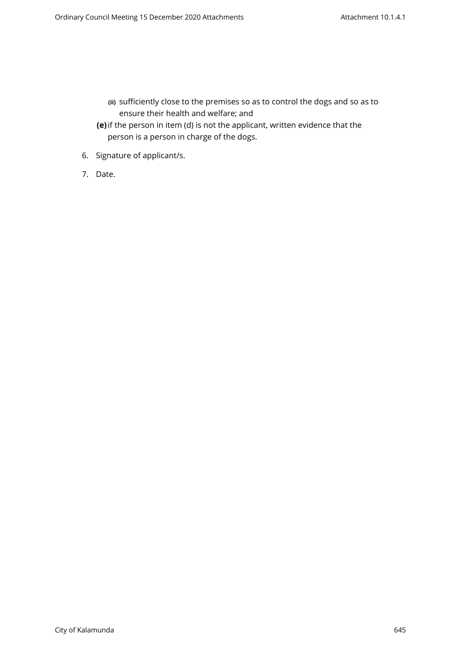- **(ii)** sufficiently close to the premises so as to control the dogs and so as to ensure their health and welfare; and
- **(e)**if the person in item (d) is not the applicant, written evidence that the person is a person in charge of the dogs.
- 6. Signature of applicant/s.
- 7. Date.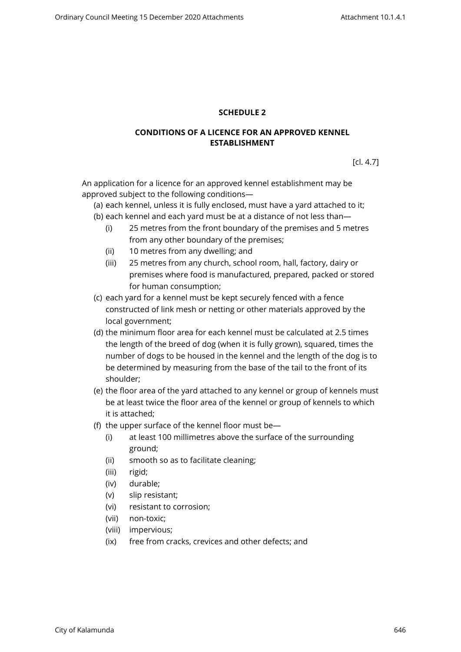# <span id="page-19-0"></span>**SCHEDULE 2**

# **CONDITIONS OF A LICENCE FOR AN APPROVED KENNEL ESTABLISHMENT**

[cl. 4.7]

An application for a licence for an approved kennel establishment may be approved subject to the following conditions—

(a) each kennel, unless it is fully enclosed, must have a yard attached to it;

- (b) each kennel and each yard must be at a distance of not less than—
	- (i) 25 metres from the front boundary of the premises and 5 metres from any other boundary of the premises;
	- (ii) 10 metres from any dwelling; and
	- (iii) 25 metres from any church, school room, hall, factory, dairy or premises where food is manufactured, prepared, packed or stored for human consumption;
- (c) each yard for a kennel must be kept securely fenced with a fence constructed of link mesh or netting or other materials approved by the local government;
- (d) the minimum floor area for each kennel must be calculated at 2.5 times the length of the breed of dog (when it is fully grown), squared, times the number of dogs to be housed in the kennel and the length of the dog is to be determined by measuring from the base of the tail to the front of its shoulder;
- (e) the floor area of the yard attached to any kennel or group of kennels must be at least twice the floor area of the kennel or group of kennels to which it is attached;
- (f) the upper surface of the kennel floor must be—
	- (i) at least 100 millimetres above the surface of the surrounding ground;
	- (ii) smooth so as to facilitate cleaning;
	- (iii) rigid;
	- (iv) durable;
	- (v) slip resistant;
	- (vi) resistant to corrosion;
	- (vii) non-toxic;
	- (viii) impervious;
	- (ix) free from cracks, crevices and other defects; and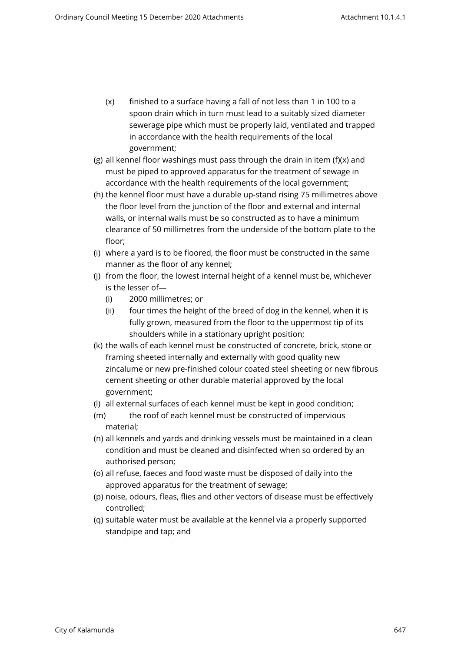- (x) finished to a surface having a fall of not less than 1 in 100 to a spoon drain which in turn must lead to a suitably sized diameter sewerage pipe which must be properly laid, ventilated and trapped in accordance with the health requirements of the local government;
- (g) all kennel floor washings must pass through the drain in item (f)(x) and must be piped to approved apparatus for the treatment of sewage in accordance with the health requirements of the local government;
- (h) the kennel floor must have a durable up-stand rising 75 millimetres above the floor level from the junction of the floor and external and internal walls, or internal walls must be so constructed as to have a minimum clearance of 50 millimetres from the underside of the bottom plate to the floor;
- (i) where a yard is to be floored, the floor must be constructed in the same manner as the floor of any kennel;
- (j) from the floor, the lowest internal height of a kennel must be, whichever is the lesser of—
	- (i) 2000 millimetres; or
	- (ii) four times the height of the breed of dog in the kennel, when it is fully grown, measured from the floor to the uppermost tip of its shoulders while in a stationary upright position;
- (k) the walls of each kennel must be constructed of concrete, brick, stone or framing sheeted internally and externally with good quality new zincalume or new pre-finished colour coated steel sheeting or new fibrous cement sheeting or other durable material approved by the local government;
- (l) all external surfaces of each kennel must be kept in good condition;
- (m) the roof of each kennel must be constructed of impervious material;
- (n) all kennels and yards and drinking vessels must be maintained in a clean condition and must be cleaned and disinfected when so ordered by an authorised person;
- (o) all refuse, faeces and food waste must be disposed of daily into the approved apparatus for the treatment of sewage;
- (p) noise, odours, fleas, flies and other vectors of disease must be effectively controlled;
- (q) suitable water must be available at the kennel via a properly supported standpipe and tap; and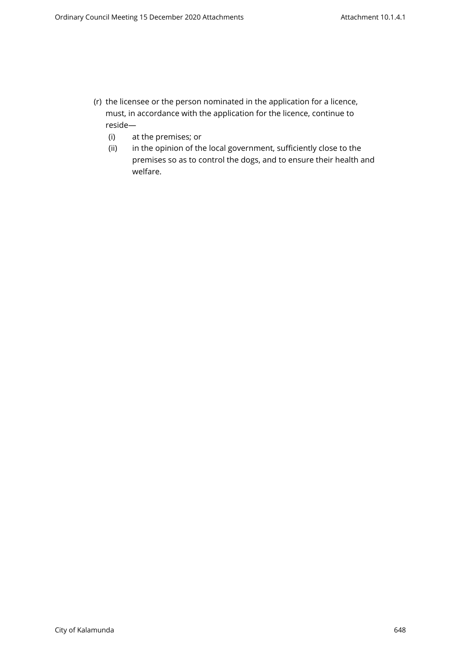- (r) the licensee or the person nominated in the application for a licence, must, in accordance with the application for the licence, continue to reside—
	- (i) at the premises; or
	- (ii) in the opinion of the local government, sufficiently close to the premises so as to control the dogs, and to ensure their health and welfare.